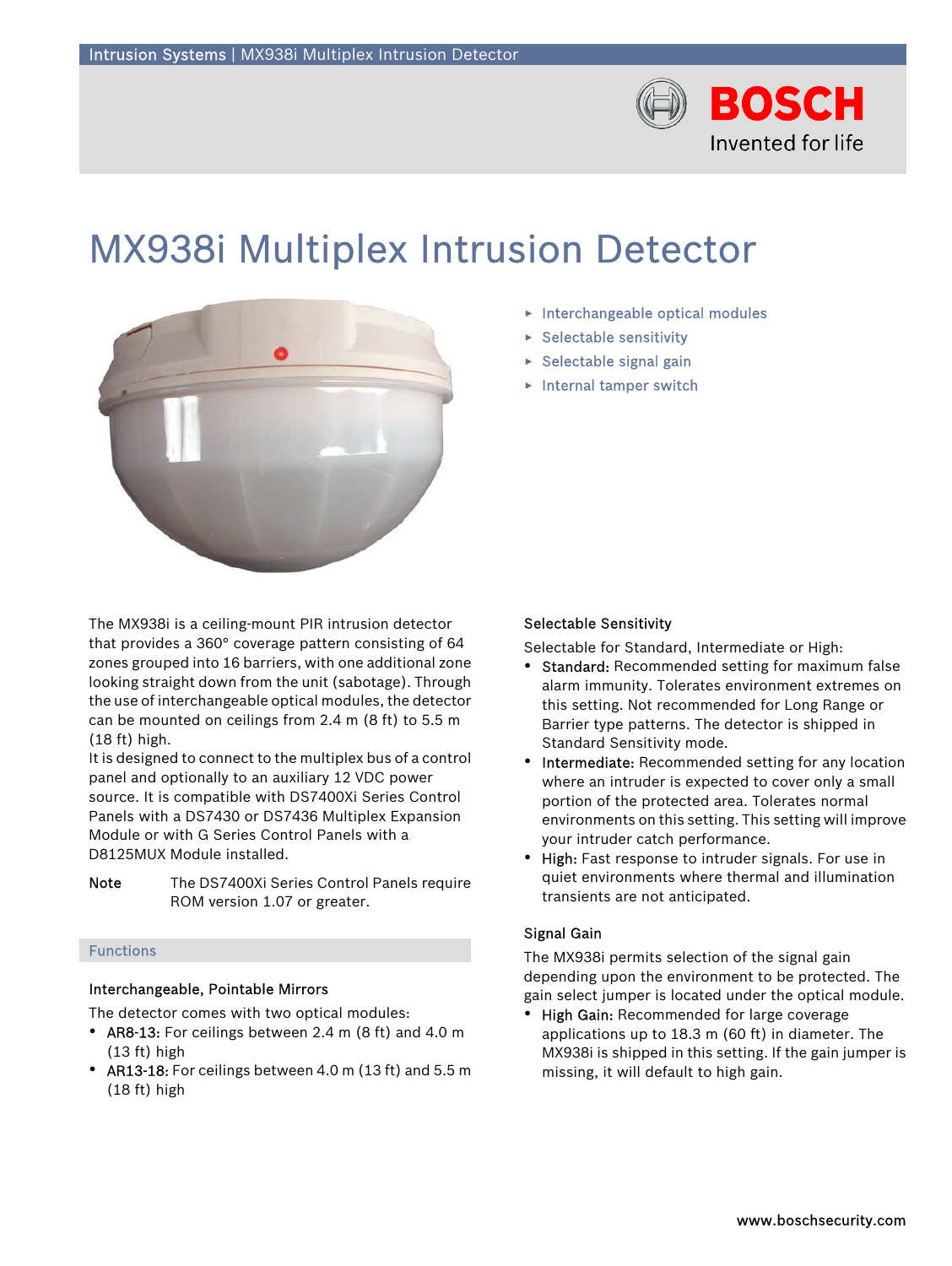

# MX938i Multiplex Intrusion Detector



The MX938i is a ceiling-mount PIR intrusion detector that provides a 360° coverage pattern consisting of 64 zones grouped into 16 barriers, with one additional zone looking straight down from the unit (sabotage). Through the use of interchangeable optical modules, the detector can be mounted on ceilings from 2.4 m (8 ft) to 5.5 m (18 ft) high.

It is designed to connect to the multiplex bus of a control panel and optionally to an auxiliary 12 VDC power source. It is compatible with DS7400Xi Series Control Panels with a DS7430 or DS7436 Multiplex Expansion Module or with G Series Control Panels with a D8125MUX Module installed.

Note The DS7400Xi Series Control Panels require ROM version 1.07 or greater.

# Functions

# Interchangeable, Pointable Mirrors

The detector comes with two optical modules:

- AR8-13: For ceilings between 2.4 m (8 ft) and 4.0 m (13 ft) high
- AR13-18: For ceilings between 4.0 m (13 ft) and 5.5 m (18 ft) high
- $\blacktriangleright$  Interchangeable optical modules
- $\triangleright$  Selectable sensitivity
- $\blacktriangleright$  Selectable signal gain
- $\blacktriangleright$  Internal tamper switch

# Selectable Sensitivity

Selectable for Standard, Intermediate or High:

- Standard: Recommended setting for maximum false alarm immunity. Tolerates environment extremes on this setting. Not recommended for Long Range or Barrier type patterns. The detector is shipped in Standard Sensitivity mode.
- Intermediate: Recommended setting for any location where an intruder is expected to cover only a small portion of the protected area. Tolerates normal environments on this setting. This setting will improve your intruder catch performance.
- High: Fast response to intruder signals. For use in quiet environments where thermal and illumination transients are not anticipated.

# Signal Gain

The MX938i permits selection of the signal gain depending upon the environment to be protected. The gain select jumper is located under the optical module.

• High Gain: Recommended for large coverage applications up to 18.3 m (60 ft) in diameter. The MX938i is shipped in this setting. If the gain jumper is missing, it will default to high gain.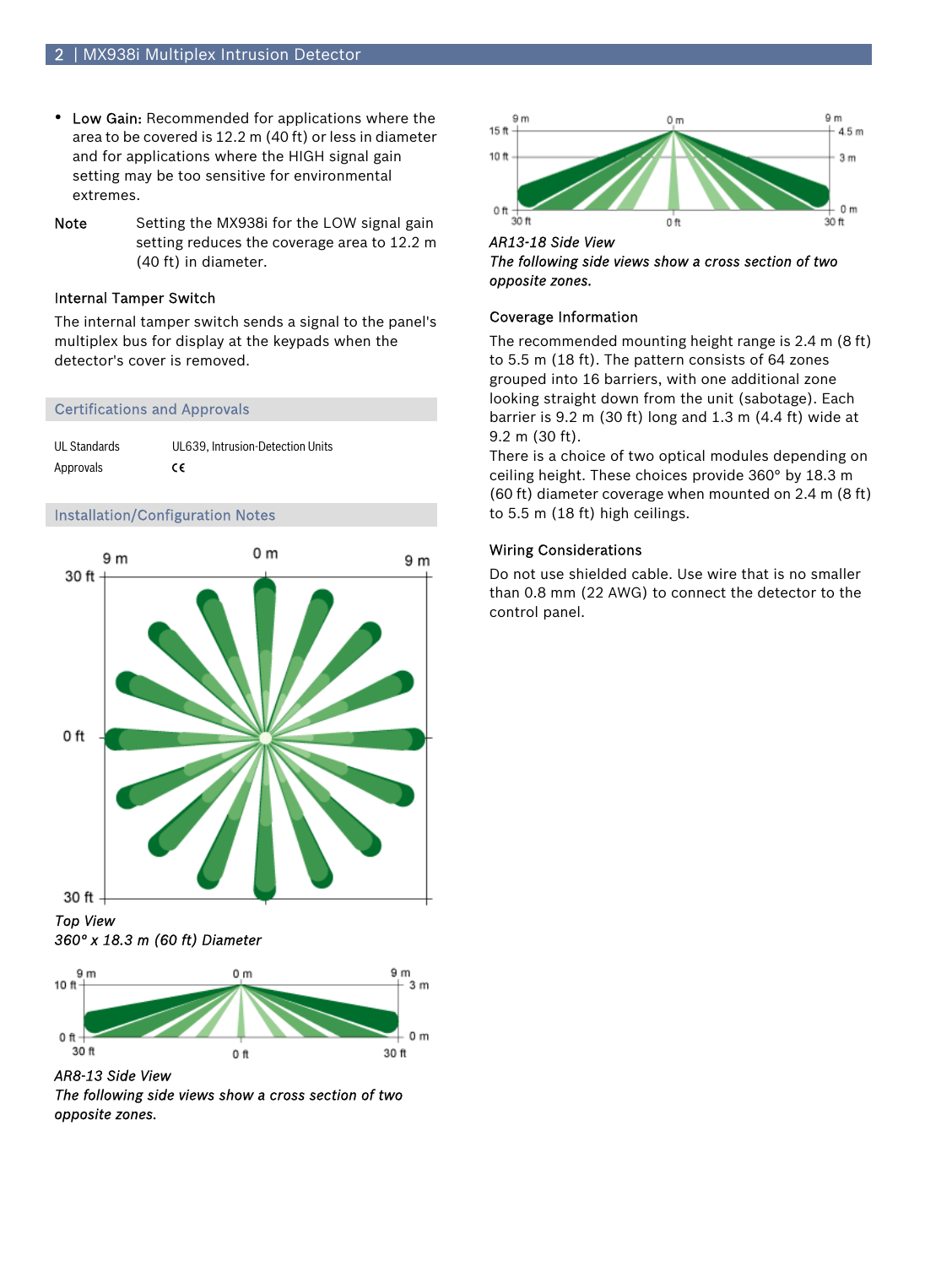- Low Gain: Recommended for applications where the area to be covered is 12.2 m (40 ft) or less in diameter and for applications where the HIGH signal gain setting may be too sensitive for environmental extremes.
- Note Setting the MX938i for the LOW signal gain setting reduces the coverage area to 12.2 m (40 ft) in diameter.

# Internal Tamper Switch

The internal tamper switch sends a signal to the panel's multiplex bus for display at the keypads when the detector's cover is removed.

## Certifications and Approvals

| UL Standards | UL639. Intrusion-Detection Units |
|--------------|----------------------------------|
| Approvals    | €                                |

## Installation/Configuration Notes



*Top View 360° x 18.3 m (60 ft) Diameter*



*AR8-13 Side View The following side views show a cross section of two opposite zones.*



*AR13-18 Side View The following side views show a cross section of two opposite zones.*

## Coverage Information

The recommended mounting height range is 2.4 m (8 ft) to 5.5 m (18 ft). The pattern consists of 64 zones grouped into 16 barriers, with one additional zone looking straight down from the unit (sabotage). Each barrier is 9.2 m (30 ft) long and 1.3 m (4.4 ft) wide at 9.2 m (30 ft).

There is a choice of two optical modules depending on ceiling height. These choices provide 360° by 18.3 m (60 ft) diameter coverage when mounted on 2.4 m (8 ft) to 5.5 m (18 ft) high ceilings.

# Wiring Considerations

Do not use shielded cable. Use wire that is no smaller than 0.8 mm (22 AWG) to connect the detector to the control panel.